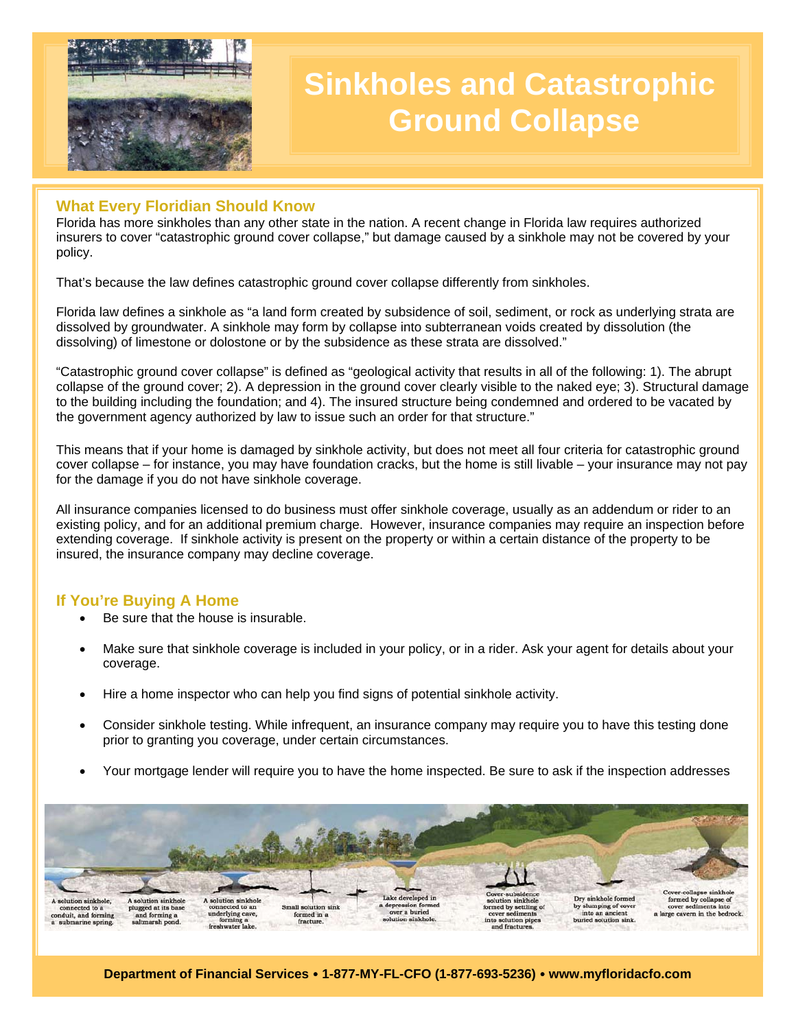

# **Sinkholes and Catastrophic Ground Collapse**

## **What Every Floridian Should Know**

Florida has more sinkholes than any other state in the nation. A recent change in Florida law requires authorized insurers to cover "catastrophic ground cover collapse," but damage caused by a sinkhole may not be covered by your policy.

That's because the law defines catastrophic ground cover collapse differently from sinkholes.

Florida law defines a sinkhole as "a land form created by subsidence of soil, sediment, or rock as underlying strata are dissolved by groundwater. A sinkhole may form by collapse into subterranean voids created by dissolution (the dissolving) of limestone or dolostone or by the subsidence as these strata are dissolved."

"Catastrophic ground cover collapse" is defined as "geological activity that results in all of the following: 1). The abrupt collapse of the ground cover; 2). A depression in the ground cover clearly visible to the naked eye; 3). Structural damage to the building including the foundation; and 4). The insured structure being condemned and ordered to be vacated by the government agency authorized by law to issue such an order for that structure."

This means that if your home is damaged by sinkhole activity, but does not meet all four criteria for catastrophic ground cover collapse – for instance, you may have foundation cracks, but the home is still livable – your insurance may not pay for the damage if you do not have sinkhole coverage.

All insurance companies licensed to do business must offer sinkhole coverage, usually as an addendum or rider to an existing policy, and for an additional premium charge. However, insurance companies may require an inspection before extending coverage. If sinkhole activity is present on the property or within a certain distance of the property to be insured, the insurance company may decline coverage.

#### **If You're Buying A Home**

- Be sure that the house is insurable.
- Make sure that sinkhole coverage is included in your policy, or in a rider. Ask your agent for details about your coverage.
- Hire a home inspector who can help you find signs of potential sinkhole activity.
- Consider sinkhole testing. While infrequent, an insurance company may require you to have this testing done prior to granting you coverage, under certain circumstances.
- Your mortgage lender will require you to have the home inspected. Be sure to ask if the inspection addresses